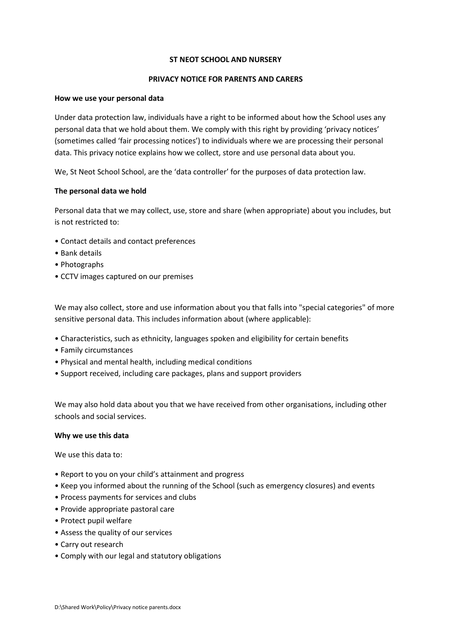#### ST NEOT SCHOOL AND NURSERY

### PRIVACY NOTICE FOR PARENTS AND CARERS

#### How we use your personal data

Under data protection law, individuals have a right to be informed about how the School uses any personal data that we hold about them. We comply with this right by providing 'privacy notices' (sometimes called 'fair processing notices') to individuals where we are processing their personal data. This privacy notice explains how we collect, store and use personal data about you.

We, St Neot School School, are the 'data controller' for the purposes of data protection law.

### The personal data we hold

Personal data that we may collect, use, store and share (when appropriate) about you includes, but is not restricted to:

- Contact details and contact preferences
- Bank details
- Photographs
- CCTV images captured on our premises

We may also collect, store and use information about you that falls into "special categories" of more sensitive personal data. This includes information about (where applicable):

- Characteristics, such as ethnicity, languages spoken and eligibility for certain benefits
- Family circumstances
- Physical and mental health, including medical conditions
- Support received, including care packages, plans and support providers

We may also hold data about you that we have received from other organisations, including other schools and social services.

### Why we use this data

We use this data to:

- Report to you on your child's attainment and progress
- Keep you informed about the running of the School (such as emergency closures) and events
- Process payments for services and clubs
- Provide appropriate pastoral care
- Protect pupil welfare
- Assess the quality of our services
- Carry out research
- Comply with our legal and statutory obligations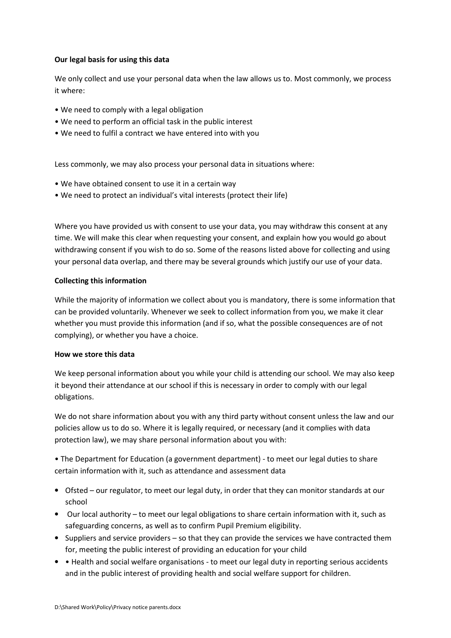# Our legal basis for using this data

We only collect and use your personal data when the law allows us to. Most commonly, we process it where:

- We need to comply with a legal obligation
- We need to perform an official task in the public interest
- We need to fulfil a contract we have entered into with you

Less commonly, we may also process your personal data in situations where:

- We have obtained consent to use it in a certain way
- We need to protect an individual's vital interests (protect their life)

Where you have provided us with consent to use your data, you may withdraw this consent at any time. We will make this clear when requesting your consent, and explain how you would go about withdrawing consent if you wish to do so. Some of the reasons listed above for collecting and using your personal data overlap, and there may be several grounds which justify our use of your data.

### Collecting this information

While the majority of information we collect about you is mandatory, there is some information that can be provided voluntarily. Whenever we seek to collect information from you, we make it clear whether you must provide this information (and if so, what the possible consequences are of not complying), or whether you have a choice.

### How we store this data

We keep personal information about you while your child is attending our school. We may also keep it beyond their attendance at our school if this is necessary in order to comply with our legal obligations.

We do not share information about you with any third party without consent unless the law and our policies allow us to do so. Where it is legally required, or necessary (and it complies with data protection law), we may share personal information about you with:

• The Department for Education (a government department) - to meet our legal duties to share certain information with it, such as attendance and assessment data

- Ofsted our regulator, to meet our legal duty, in order that they can monitor standards at our school
- Our local authority to meet our legal obligations to share certain information with it, such as safeguarding concerns, as well as to confirm Pupil Premium eligibility.
- Suppliers and service providers so that they can provide the services we have contracted them for, meeting the public interest of providing an education for your child
- • Health and social welfare organisations to meet our legal duty in reporting serious accidents and in the public interest of providing health and social welfare support for children.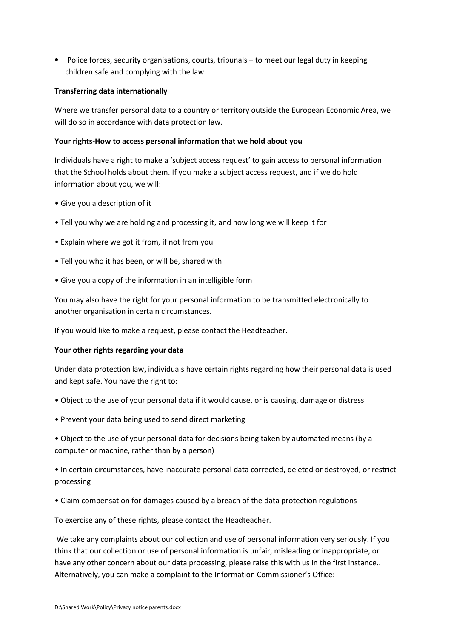• Police forces, security organisations, courts, tribunals – to meet our legal duty in keeping children safe and complying with the law

### Transferring data internationally

Where we transfer personal data to a country or territory outside the European Economic Area, we will do so in accordance with data protection law.

# Your rights-How to access personal information that we hold about you

Individuals have a right to make a 'subject access request' to gain access to personal information that the School holds about them. If you make a subject access request, and if we do hold information about you, we will:

- Give you a description of it
- Tell you why we are holding and processing it, and how long we will keep it for
- Explain where we got it from, if not from you
- Tell you who it has been, or will be, shared with
- Give you a copy of the information in an intelligible form

You may also have the right for your personal information to be transmitted electronically to another organisation in certain circumstances.

If you would like to make a request, please contact the Headteacher.

### Your other rights regarding your data

Under data protection law, individuals have certain rights regarding how their personal data is used and kept safe. You have the right to:

- Object to the use of your personal data if it would cause, or is causing, damage or distress
- Prevent your data being used to send direct marketing
- Object to the use of your personal data for decisions being taken by automated means (by a computer or machine, rather than by a person)

• In certain circumstances, have inaccurate personal data corrected, deleted or destroyed, or restrict processing

• Claim compensation for damages caused by a breach of the data protection regulations

To exercise any of these rights, please contact the Headteacher.

 We take any complaints about our collection and use of personal information very seriously. If you think that our collection or use of personal information is unfair, misleading or inappropriate, or have any other concern about our data processing, please raise this with us in the first instance.. Alternatively, you can make a complaint to the Information Commissioner's Office: